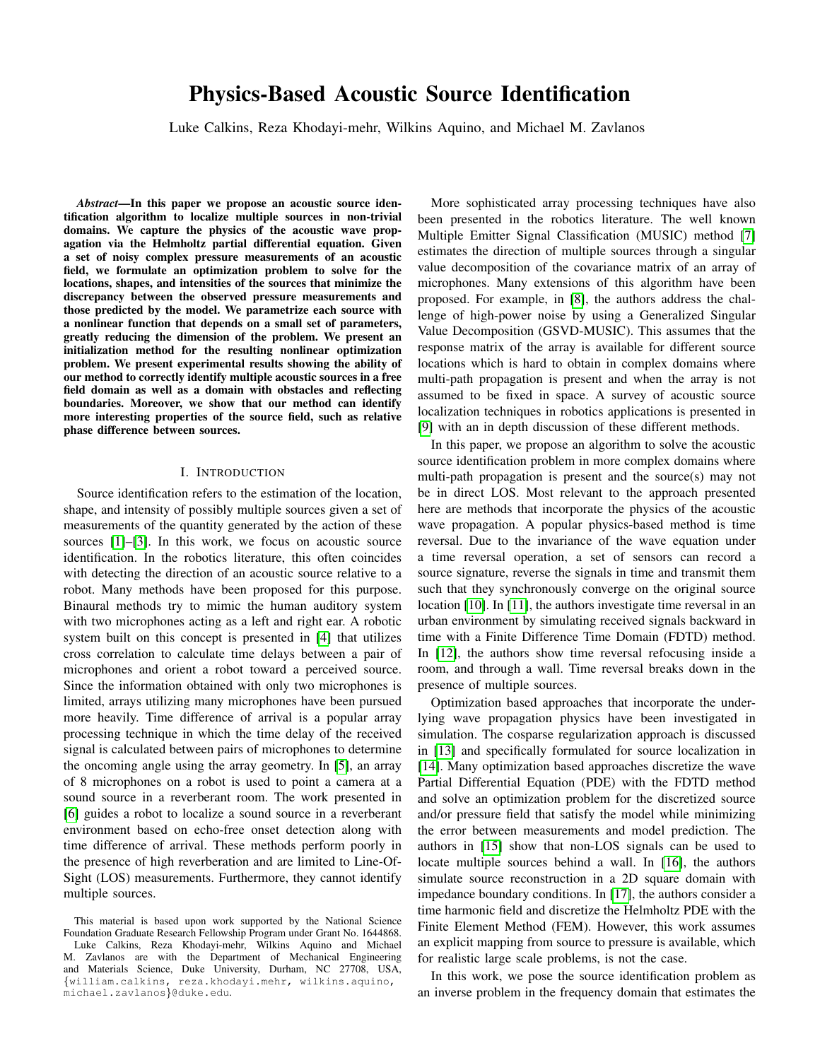# Physics-Based Acoustic Source Identification

Luke Calkins, Reza Khodayi-mehr, Wilkins Aquino, and Michael M. Zavlanos

*Abstract*—In this paper we propose an acoustic source identification algorithm to localize multiple sources in non-trivial domains. We capture the physics of the acoustic wave propagation via the Helmholtz partial differential equation. Given a set of noisy complex pressure measurements of an acoustic field, we formulate an optimization problem to solve for the locations, shapes, and intensities of the sources that minimize the discrepancy between the observed pressure measurements and those predicted by the model. We parametrize each source with a nonlinear function that depends on a small set of parameters, greatly reducing the dimension of the problem. We present an initialization method for the resulting nonlinear optimization problem. We present experimental results showing the ability of our method to correctly identify multiple acoustic sources in a free field domain as well as a domain with obstacles and reflecting boundaries. Moreover, we show that our method can identify more interesting properties of the source field, such as relative phase difference between sources.

### I. INTRODUCTION

Source identification refers to the estimation of the location, shape, and intensity of possibly multiple sources given a set of measurements of the quantity generated by the action of these sources [\[1\]](#page-5-0)–[\[3\]](#page-5-1). In this work, we focus on acoustic source identification. In the robotics literature, this often coincides with detecting the direction of an acoustic source relative to a robot. Many methods have been proposed for this purpose. Binaural methods try to mimic the human auditory system with two microphones acting as a left and right ear. A robotic system built on this concept is presented in [\[4\]](#page-5-2) that utilizes cross correlation to calculate time delays between a pair of microphones and orient a robot toward a perceived source. Since the information obtained with only two microphones is limited, arrays utilizing many microphones have been pursued more heavily. Time difference of arrival is a popular array processing technique in which the time delay of the received signal is calculated between pairs of microphones to determine the oncoming angle using the array geometry. In [\[5\]](#page-5-3), an array of 8 microphones on a robot is used to point a camera at a sound source in a reverberant room. The work presented in [\[6\]](#page-5-4) guides a robot to localize a sound source in a reverberant environment based on echo-free onset detection along with time difference of arrival. These methods perform poorly in the presence of high reverberation and are limited to Line-Of-Sight (LOS) measurements. Furthermore, they cannot identify multiple sources.

This material is based upon work supported by the National Science Foundation Graduate Research Fellowship Program under Grant No. 1644868. Luke Calkins, Reza Khodayi-mehr, Wilkins Aquino and Michael M. Zavlanos are with the Department of Mechanical Engineering and Materials Science, Duke University, Durham, NC 27708, USA, {william.calkins, reza.khodayi.mehr, wilkins.aquino, michael.zavlanos}@duke.edu.

More sophisticated array processing techniques have also been presented in the robotics literature. The well known Multiple Emitter Signal Classification (MUSIC) method [\[7\]](#page-5-5) estimates the direction of multiple sources through a singular value decomposition of the covariance matrix of an array of microphones. Many extensions of this algorithm have been proposed. For example, in [\[8\]](#page-5-6), the authors address the challenge of high-power noise by using a Generalized Singular Value Decomposition (GSVD-MUSIC). This assumes that the response matrix of the array is available for different source locations which is hard to obtain in complex domains where multi-path propagation is present and when the array is not assumed to be fixed in space. A survey of acoustic source localization techniques in robotics applications is presented in [\[9\]](#page-5-7) with an in depth discussion of these different methods.

In this paper, we propose an algorithm to solve the acoustic source identification problem in more complex domains where multi-path propagation is present and the source(s) may not be in direct LOS. Most relevant to the approach presented here are methods that incorporate the physics of the acoustic wave propagation. A popular physics-based method is time reversal. Due to the invariance of the wave equation under a time reversal operation, a set of sensors can record a source signature, reverse the signals in time and transmit them such that they synchronously converge on the original source location [\[10\]](#page-5-8). In [\[11\]](#page-5-9), the authors investigate time reversal in an urban environment by simulating received signals backward in time with a Finite Difference Time Domain (FDTD) method. In [\[12\]](#page-5-10), the authors show time reversal refocusing inside a room, and through a wall. Time reversal breaks down in the presence of multiple sources.

Optimization based approaches that incorporate the underlying wave propagation physics have been investigated in simulation. The cosparse regularization approach is discussed in [\[13\]](#page-5-11) and specifically formulated for source localization in [\[14\]](#page-5-12). Many optimization based approaches discretize the wave Partial Differential Equation (PDE) with the FDTD method and solve an optimization problem for the discretized source and/or pressure field that satisfy the model while minimizing the error between measurements and model prediction. The authors in [\[15\]](#page-5-13) show that non-LOS signals can be used to locate multiple sources behind a wall. In [\[16\]](#page-5-14), the authors simulate source reconstruction in a 2D square domain with impedance boundary conditions. In [\[17\]](#page-5-15), the authors consider a time harmonic field and discretize the Helmholtz PDE with the Finite Element Method (FEM). However, this work assumes an explicit mapping from source to pressure is available, which for realistic large scale problems, is not the case.

In this work, we pose the source identification problem as an inverse problem in the frequency domain that estimates the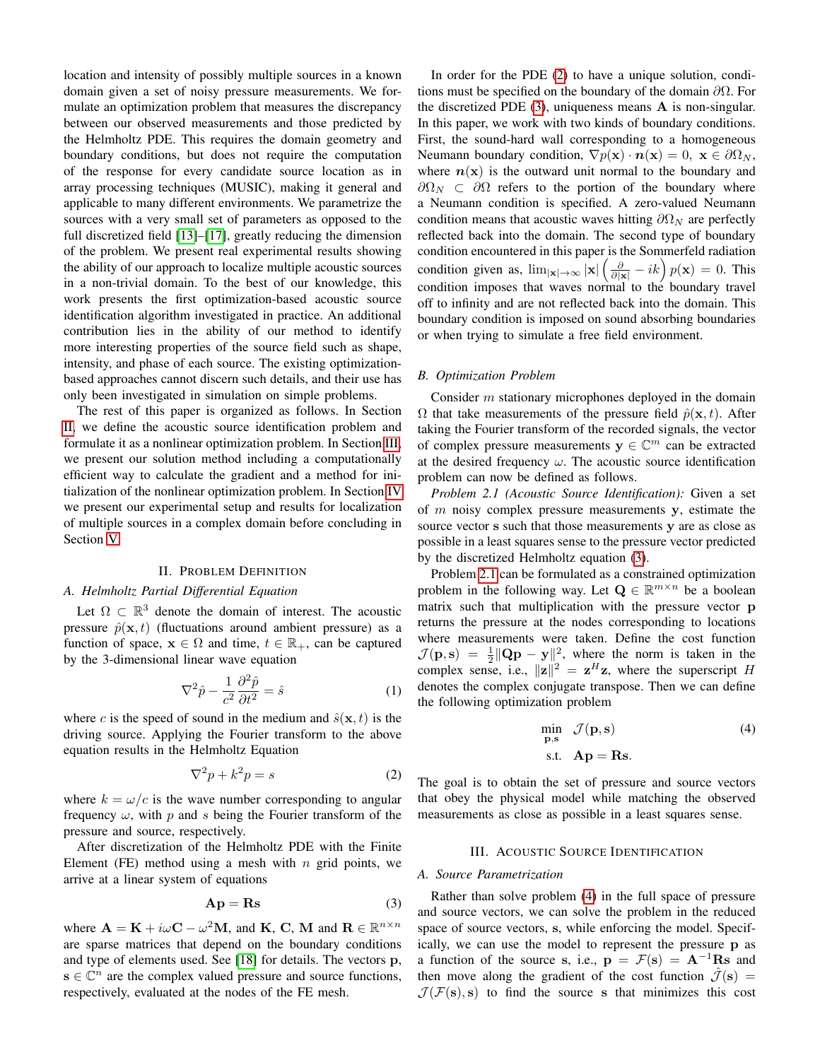location and intensity of possibly multiple sources in a known domain given a set of noisy pressure measurements. We formulate an optimization problem that measures the discrepancy between our observed measurements and those predicted by the Helmholtz PDE. This requires the domain geometry and boundary conditions, but does not require the computation of the response for every candidate source location as in array processing techniques (MUSIC), making it general and applicable to many different environments. We parametrize the sources with a very small set of parameters as opposed to the full discretized field [\[13\]](#page-5-11)–[\[17\]](#page-5-15), greatly reducing the dimension of the problem. We present real experimental results showing the ability of our approach to localize multiple acoustic sources in a non-trivial domain. To the best of our knowledge, this work presents the first optimization-based acoustic source identification algorithm investigated in practice. An additional contribution lies in the ability of our method to identify more interesting properties of the source field such as shape, intensity, and phase of each source. The existing optimizationbased approaches cannot discern such details, and their use has only been investigated in simulation on simple problems.

The rest of this paper is organized as follows. In Section [II,](#page-1-0) we define the acoustic source identification problem and formulate it as a nonlinear optimization problem. In Section [III,](#page-1-1) we present our solution method including a computationally efficient way to calculate the gradient and a method for initialization of the nonlinear optimization problem. In Section [IV](#page-3-0) we present our experimental setup and results for localization of multiple sources in a complex domain before concluding in Section [V.](#page-5-16)

### II. PROBLEM DEFINITION

# <span id="page-1-6"></span><span id="page-1-0"></span>*A. Helmholtz Partial Differential Equation*

Let  $\Omega \subset \mathbb{R}^3$  denote the domain of interest. The acoustic pressure  $\hat{p}(\mathbf{x}, t)$  (fluctuations around ambient pressure) as a function of space,  $x \in \Omega$  and time,  $t \in \mathbb{R}_+$ , can be captured by the 3-dimensional linear wave equation

$$
\nabla^2 \hat{p} - \frac{1}{c^2} \frac{\partial^2 \hat{p}}{\partial t^2} = \hat{s}
$$
 (1)

where c is the speed of sound in the medium and  $\hat{s}(\mathbf{x}, t)$  is the driving source. Applying the Fourier transform to the above equation results in the Helmholtz Equation

$$
\nabla^2 p + k^2 p = s \tag{2}
$$

where  $k = \omega/c$  is the wave number corresponding to angular frequency  $\omega$ , with p and s being the Fourier transform of the pressure and source, respectively.

After discretization of the Helmholtz PDE with the Finite Element (FE) method using a mesh with  $n$  grid points, we arrive at a linear system of equations

$$
Ap = Rs
$$
 (3)

where  $\mathbf{A} = \mathbf{K} + i\omega \mathbf{C} - \omega^2 \mathbf{M}$ , and  $\mathbf{K}, \mathbf{C}, \mathbf{M}$  and  $\mathbf{R} \in \mathbb{R}^{n \times n}$ are sparse matrices that depend on the boundary conditions and type of elements used. See [\[18\]](#page-5-17) for details. The vectors p,  $\mathbf{s} \in \mathbb{C}^n$  are the complex valued pressure and source functions, respectively, evaluated at the nodes of the FE mesh.

In order for the PDE [\(2\)](#page-1-2) to have a unique solution, conditions must be specified on the boundary of the domain  $\partial\Omega$ . For the discretized PDE  $(3)$ , uniqueness means **A** is non-singular. In this paper, we work with two kinds of boundary conditions. First, the sound-hard wall corresponding to a homogeneous Neumann boundary condition,  $\nabla p(\mathbf{x}) \cdot \mathbf{n}(\mathbf{x}) = 0$ ,  $\mathbf{x} \in \partial \Omega_N$ , where  $n(x)$  is the outward unit normal to the boundary and  $\partial \Omega_N$  ⊂  $\partial \Omega$  refers to the portion of the boundary where a Neumann condition is specified. A zero-valued Neumann condition means that acoustic waves hitting  $\partial \Omega_N$  are perfectly reflected back into the domain. The second type of boundary condition encountered in this paper is the Sommerfeld radiation condition given as,  $\lim_{|\mathbf{x}| \to \infty} |\mathbf{x}| \left( \frac{\partial}{\partial |\mathbf{x}|} - ik \right) p(\mathbf{x}) = 0$ . This condition imposes that waves normal to the boundary travel off to infinity and are not reflected back into the domain. This boundary condition is imposed on sound absorbing boundaries or when trying to simulate a free field environment.

### *B. Optimization Problem*

Consider m stationary microphones deployed in the domain  $\Omega$  that take measurements of the pressure field  $\hat{p}(\mathbf{x}, t)$ . After taking the Fourier transform of the recorded signals, the vector of complex pressure measurements  $y \in \mathbb{C}^m$  can be extracted at the desired frequency  $\omega$ . The acoustic source identification problem can now be defined as follows.

<span id="page-1-4"></span>*Problem 2.1 (Acoustic Source Identification):* Given a set of  $m$  noisy complex pressure measurements  $y$ , estimate the source vector s such that those measurements y are as close as possible in a least squares sense to the pressure vector predicted by the discretized Helmholtz equation [\(3\)](#page-1-3).

Problem [2.1](#page-1-4) can be formulated as a constrained optimization problem in the following way. Let  $\mathbf{Q} \in \mathbb{R}^{m \times n}$  be a boolean matrix such that multiplication with the pressure vector p returns the pressure at the nodes corresponding to locations where measurements were taken. Define the cost function  $\mathcal{J}(\mathbf{p}, \mathbf{s}) = \frac{1}{2} ||\mathbf{Q}\mathbf{p} - \mathbf{y}||^2$ , where the norm is taken in the complex sense, i.e.,  $||\mathbf{z}||^2 = \mathbf{z}^H \mathbf{z}$ , where the superscript H denotes the complex conjugate transpose. Then we can define the following optimization problem

<span id="page-1-5"></span>
$$
\min_{\mathbf{p}, \mathbf{s}} \quad \mathcal{J}(\mathbf{p}, \mathbf{s}) \tag{4}
$$
  
s.t.  $\mathbf{A}\mathbf{p} = \mathbf{R}\mathbf{s}$ .

<span id="page-1-2"></span>The goal is to obtain the set of pressure and source vectors that obey the physical model while matching the observed measurements as close as possible in a least squares sense.

# III. ACOUSTIC SOURCE IDENTIFICATION

### <span id="page-1-1"></span>*A. Source Parametrization*

<span id="page-1-3"></span>Rather than solve problem [\(4\)](#page-1-5) in the full space of pressure and source vectors, we can solve the problem in the reduced space of source vectors, s, while enforcing the model. Specifically, we can use the model to represent the pressure p as a function of the source s, i.e.,  $p = \mathcal{F}(s) = A^{-1}Rs$  and then move along the gradient of the cost function  $\mathcal{\tilde{J}}(\mathbf{s}) =$  $\mathcal{J}(\mathcal{F}(s), s)$  to find the source s that minimizes this cost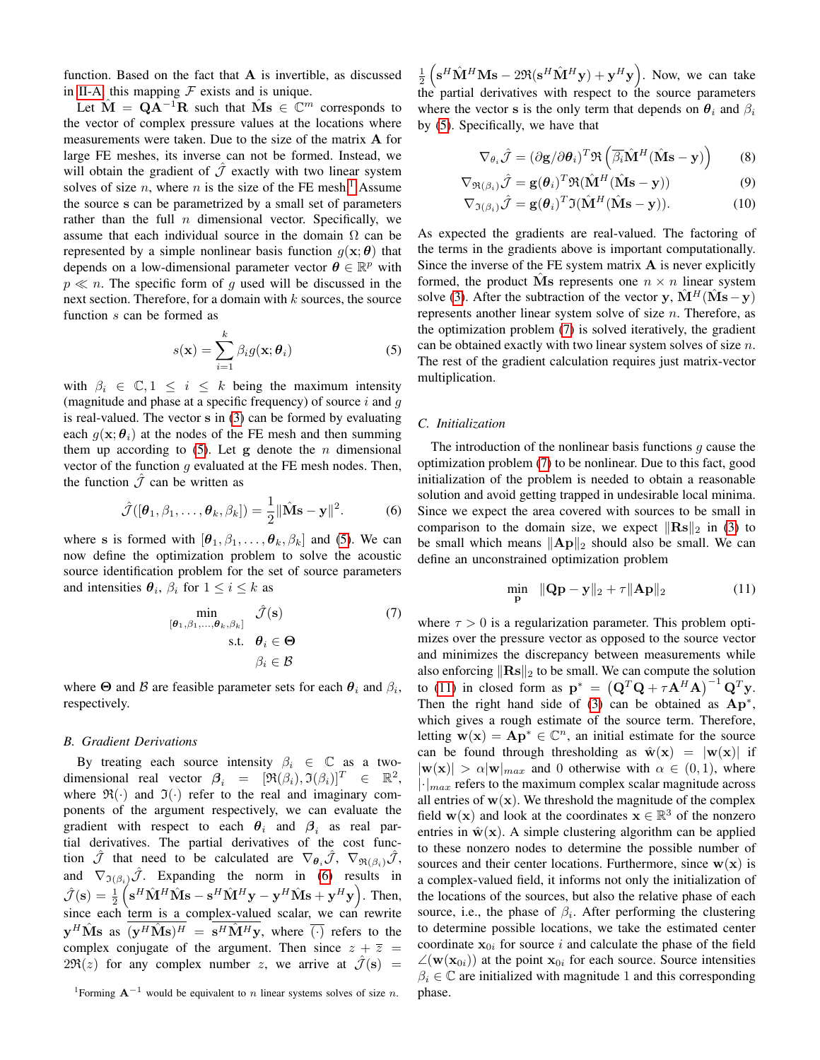function. Based on the fact that A is invertible, as discussed in [II-A,](#page-1-6) this mapping  $\mathcal F$  exists and is unique.

Let  $\hat{\mathbf{M}} = \mathbf{Q}\mathbf{A}^{-1}\mathbf{R}$  such that  $\hat{\mathbf{M}}\mathbf{s} \in \mathbb{C}^m$  corresponds to the vector of complex pressure values at the locations where measurements were taken. Due to the size of the matrix A for large FE meshes, its inverse can not be formed. Instead, we will obtain the gradient of  $\hat{J}$  exactly with two linear system solves of size n, where n is the size of the FE mesh.<sup>[1](#page-2-0)</sup> Assume the source s can be parametrized by a small set of parameters rather than the full  $n$  dimensional vector. Specifically, we assume that each individual source in the domain  $\Omega$  can be represented by a simple nonlinear basis function  $q(\mathbf{x}; \boldsymbol{\theta})$  that depends on a low-dimensional parameter vector  $\boldsymbol{\theta} \in \mathbb{R}^p$  with  $p \ll n$ . The specific form of g used will be discussed in the next section. Therefore, for a domain with  $k$  sources, the source function s can be formed as

$$
s(\mathbf{x}) = \sum_{i=1}^{k} \beta_i g(\mathbf{x}; \boldsymbol{\theta}_i)
$$
 (5)

with  $\beta_i \in \mathbb{C}, 1 \leq i \leq k$  being the maximum intensity (magnitude and phase at a specific frequency) of source  $i$  and  $g$ is real-valued. The vector s in [\(3\)](#page-1-3) can be formed by evaluating each  $g(\mathbf{x}; \theta_i)$  at the nodes of the FE mesh and then summing them up according to  $(5)$ . Let g denote the *n* dimensional vector of the function  $q$  evaluated at the FE mesh nodes. Then, the function  $\hat{J}$  can be written as

$$
\hat{\mathcal{J}}([\boldsymbol{\theta}_1, \beta_1, \dots, \boldsymbol{\theta}_k, \beta_k]) = \frac{1}{2} ||\hat{\mathbf{M}} \mathbf{s} - \mathbf{y}||^2.
$$
 (6)

where s is formed with  $[\theta_1, \beta_1, \dots, \theta_k, \beta_k]$  and [\(5\)](#page-2-1). We can now define the optimization problem to solve the acoustic source identification problem for the set of source parameters and intensities  $\theta_i$ ,  $\beta_i$  for  $1 \le i \le k$  as

$$
\min_{\{\boldsymbol{\theta}_1, \boldsymbol{\beta}_1, \dots, \boldsymbol{\theta}_k, \boldsymbol{\beta}_k\}} \hat{\mathcal{J}}(\mathbf{s})
$$
\n
$$
\text{s.t.} \quad \boldsymbol{\theta}_i \in \Theta
$$
\n
$$
\boldsymbol{\beta}_i \in \mathcal{B}
$$
\n(7)

where  $\Theta$  and  $\beta$  are feasible parameter sets for each  $\theta_i$  and  $\beta_i$ , respectively.

# *B. Gradient Derivations*

By treating each source intensity  $\beta_i \in \mathbb{C}$  as a twodimensional real vector  $\beta_i = [\Re(\beta_i), \Im(\beta_i)]^T \in \mathbb{R}^2$ , where  $\mathfrak{R}(\cdot)$  and  $\mathfrak{I}(\cdot)$  refer to the real and imaginary components of the argument respectively, we can evaluate the gradient with respect to each  $\theta_i$  and  $\beta_i$  as real partial derivatives. The partial derivatives of the cost function  $\mathcal J$  that need to be calculated are  $\nabla_{\theta_i} \mathcal J$ ,  $\nabla_{\Re(\beta_i)} \mathcal J$ , and  $\nabla_{\mathfrak{I}(\beta_i)}\hat{\mathcal{J}}$ . Expanding the norm in [\(6\)](#page-2-2) results in  $\hat{\mathcal{J}}(\mathbf{s}) = \frac{1}{2} \left( \mathbf{s}^H \hat{\mathbf{M}}^H \hat{\mathbf{M}} \mathbf{s} - \mathbf{s}^H \hat{\mathbf{M}}^H \mathbf{y} - \mathbf{y}^H \hat{\mathbf{M}} \mathbf{s} + \mathbf{y}^H \mathbf{y} \right)$ . Then, since each term is a complex-valued scalar, we can rewrite  $\mathbf{y}^H \hat{\mathbf{M}} \mathbf{s}$  as  $(\mathbf{y}^H \hat{\mathbf{M}} \mathbf{s})^H = \mathbf{s}^H \hat{\mathbf{M}}^H \mathbf{y}$ , where  $\overline{(\cdot)}$  refers to the complex conjugate of the argument. Then since  $z + \overline{z}$  =  $2\Re(z)$  for any complex number z, we arrive at  $\hat{\mathcal{J}}(s)$  =

<span id="page-2-0"></span><sup>1</sup>Forming  $A^{-1}$  would be equivalent to *n* linear systems solves of size *n*.

 $\frac{1}{2} \left( \mathbf{s}^H \hat{\mathbf{M}}^H \mathbf{M} \mathbf{s} - 2 \Re ( \mathbf{s}^H \hat{\mathbf{M}}^H \mathbf{y} ) + \mathbf{y}^H \mathbf{y} \right)$ . Now, we can take the partial derivatives with respect to the source parameters where the vector s is the only term that depends on  $\theta_i$  and  $\beta_i$ by [\(5\)](#page-2-1). Specifically, we have that

$$
\nabla_{\theta_i} \hat{\mathcal{J}} = (\partial \mathbf{g} / \partial \theta_i)^T \Re \left( \overline{\beta_i} \hat{\mathbf{M}}^H (\hat{\mathbf{M}} \mathbf{s} - \mathbf{y}) \right)
$$
(8)

$$
\nabla_{\mathfrak{R}(\beta_i)} \hat{\mathcal{J}} = \mathbf{g}(\boldsymbol{\theta}_i)^T \mathfrak{R} (\hat{\mathbf{M}}^H (\hat{\mathbf{M}} \mathbf{s} - \mathbf{y})) \tag{9}
$$

$$
\nabla_{\mathfrak{I}(\beta_i)} \hat{\mathcal{J}} = \mathbf{g}(\boldsymbol{\theta}_i)^T \mathfrak{I}(\hat{\mathbf{M}}^H (\hat{\mathbf{M}} \mathbf{s} - \mathbf{y})). \tag{10}
$$

As expected the gradients are real-valued. The factoring of the terms in the gradients above is important computationally. Since the inverse of the FE system matrix  $A$  is never explicitly formed, the product Ms represents one  $n \times n$  linear system solve [\(3\)](#page-1-3). After the subtraction of the vector y,  $\hat{\mathbf{M}}^H(\hat{\mathbf{M}}\mathbf{s}-\mathbf{y})$ represents another linear system solve of size  $n$ . Therefore, as the optimization problem [\(7\)](#page-2-3) is solved iteratively, the gradient can be obtained exactly with two linear system solves of size n. The rest of the gradient calculation requires just matrix-vector multiplication.

# <span id="page-2-5"></span><span id="page-2-1"></span>*C. Initialization*

<span id="page-2-2"></span>The introduction of the nonlinear basis functions  $g$  cause the optimization problem [\(7\)](#page-2-3) to be nonlinear. Due to this fact, good initialization of the problem is needed to obtain a reasonable solution and avoid getting trapped in undesirable local minima. Since we expect the area covered with sources to be small in comparison to the domain size, we expect  $\|\mathbf{Rs}\|_2$  in [\(3\)](#page-1-3) to be small which means  $\|\mathbf{A}\mathbf{p}\|_2$  should also be small. We can define an unconstrained optimization problem

<span id="page-2-4"></span>
$$
\min_{\mathbf{p}} \quad \|\mathbf{Q}\mathbf{p} - \mathbf{y}\|_2 + \tau \|\mathbf{A}\mathbf{p}\|_2 \tag{11}
$$

<span id="page-2-3"></span>where  $\tau > 0$  is a regularization parameter. This problem optimizes over the pressure vector as opposed to the source vector and minimizes the discrepancy between measurements while also enforcing  $\|\mathbf{Rs}\|_2$  to be small. We can compute the solution to [\(11\)](#page-2-4) in closed form as  $\mathbf{p}^* = (\mathbf{Q}^T \mathbf{Q} + \tau \mathbf{A}^H \mathbf{A})^{-1} \mathbf{Q}^T \mathbf{y}$ . Then the right hand side of  $(3)$  can be obtained as  $Ap^*$ , which gives a rough estimate of the source term. Therefore, letting  $\mathbf{w}(\mathbf{x}) = \mathbf{A}\mathbf{p}^* \in \mathbb{C}^n$ , an initial estimate for the source can be found through thresholding as  $\hat{\mathbf{w}}(\mathbf{x}) = |\mathbf{w}(\mathbf{x})|$  if  $|\mathbf{w}(\mathbf{x})| > \alpha |\mathbf{w}|_{max}$  and 0 otherwise with  $\alpha \in (0,1)$ , where  $\lvert \cdot \rvert_{max}$  refers to the maximum complex scalar magnitude across all entries of  $w(x)$ . We threshold the magnitude of the complex field  $w(x)$  and look at the coordinates  $x \in \mathbb{R}^3$  of the nonzero entries in  $\hat{\mathbf{w}}(\mathbf{x})$ . A simple clustering algorithm can be applied to these nonzero nodes to determine the possible number of sources and their center locations. Furthermore, since  $w(x)$  is a complex-valued field, it informs not only the initialization of the locations of the sources, but also the relative phase of each source, i.e., the phase of  $\beta_i$ . After performing the clustering to determine possible locations, we take the estimated center coordinate  $x_{0i}$  for source i and calculate the phase of the field  $\angle(\mathbf{w}(\mathbf{x}_{0i}))$  at the point  $\mathbf{x}_{0i}$  for each source. Source intensities  $\beta_i \in \mathbb{C}$  are initialized with magnitude 1 and this corresponding phase.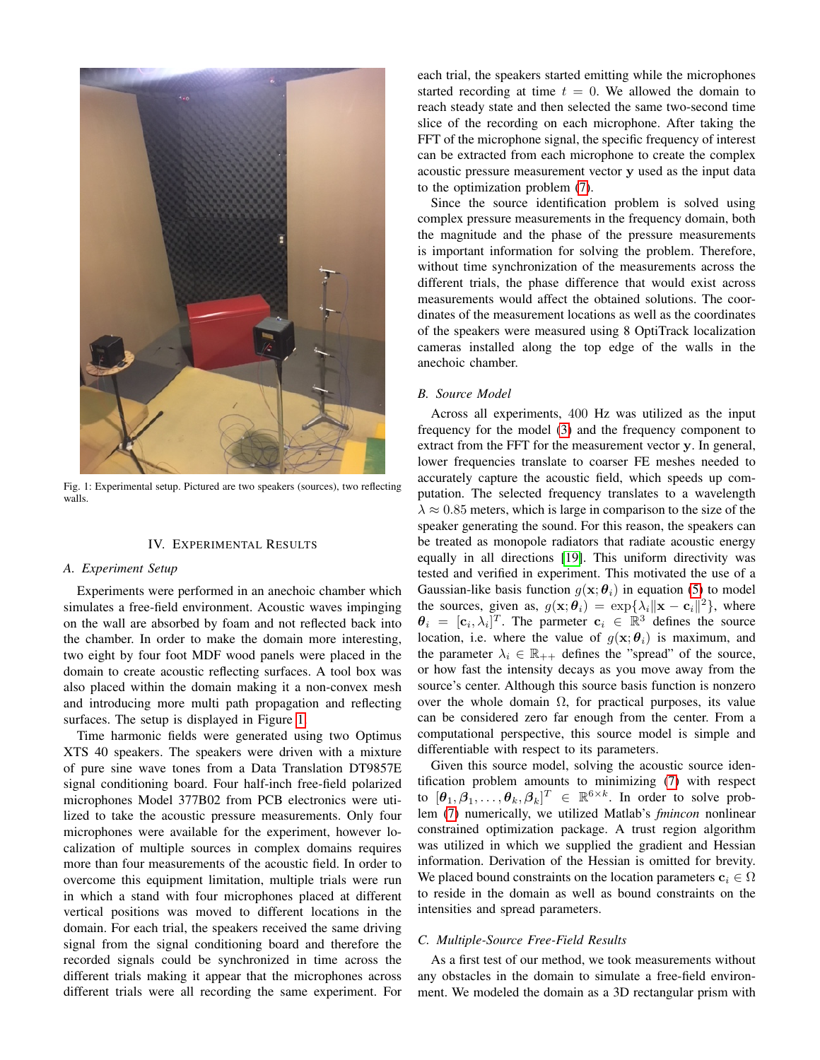<span id="page-3-1"></span>

Fig. 1: Experimental setup. Pictured are two speakers (sources), two reflecting walls.

# IV. EXPERIMENTAL RESULTS

# <span id="page-3-0"></span>*A. Experiment Setup*

Experiments were performed in an anechoic chamber which simulates a free-field environment. Acoustic waves impinging on the wall are absorbed by foam and not reflected back into the chamber. In order to make the domain more interesting, two eight by four foot MDF wood panels were placed in the domain to create acoustic reflecting surfaces. A tool box was also placed within the domain making it a non-convex mesh and introducing more multi path propagation and reflecting surfaces. The setup is displayed in Figure [1.](#page-3-1)

Time harmonic fields were generated using two Optimus XTS 40 speakers. The speakers were driven with a mixture of pure sine wave tones from a Data Translation DT9857E signal conditioning board. Four half-inch free-field polarized microphones Model 377B02 from PCB electronics were utilized to take the acoustic pressure measurements. Only four microphones were available for the experiment, however localization of multiple sources in complex domains requires more than four measurements of the acoustic field. In order to overcome this equipment limitation, multiple trials were run in which a stand with four microphones placed at different vertical positions was moved to different locations in the domain. For each trial, the speakers received the same driving signal from the signal conditioning board and therefore the recorded signals could be synchronized in time across the different trials making it appear that the microphones across different trials were all recording the same experiment. For each trial, the speakers started emitting while the microphones started recording at time  $t = 0$ . We allowed the domain to reach steady state and then selected the same two-second time slice of the recording on each microphone. After taking the FFT of the microphone signal, the specific frequency of interest can be extracted from each microphone to create the complex acoustic pressure measurement vector y used as the input data to the optimization problem [\(7\)](#page-2-3).

Since the source identification problem is solved using complex pressure measurements in the frequency domain, both the magnitude and the phase of the pressure measurements is important information for solving the problem. Therefore, without time synchronization of the measurements across the different trials, the phase difference that would exist across measurements would affect the obtained solutions. The coordinates of the measurement locations as well as the coordinates of the speakers were measured using 8 OptiTrack localization cameras installed along the top edge of the walls in the anechoic chamber.

### *B. Source Model*

Across all experiments, 400 Hz was utilized as the input frequency for the model [\(3\)](#page-1-3) and the frequency component to extract from the FFT for the measurement vector y. In general, lower frequencies translate to coarser FE meshes needed to accurately capture the acoustic field, which speeds up computation. The selected frequency translates to a wavelength  $\lambda \approx 0.85$  meters, which is large in comparison to the size of the speaker generating the sound. For this reason, the speakers can be treated as monopole radiators that radiate acoustic energy equally in all directions [\[19\]](#page-5-18). This uniform directivity was tested and verified in experiment. This motivated the use of a Gaussian-like basis function  $g(x; \theta_i)$  in equation [\(5\)](#page-2-1) to model the sources, given as,  $g(\mathbf{x}; \theta_i) = \exp\{\lambda_i \|\mathbf{x} - \mathbf{c}_i\|^2\}$ , where  $\theta_i = [\mathbf{c}_i, \lambda_i]^T$ . The parmeter  $\mathbf{c}_i \in \mathbb{R}^3$  defines the source location, i.e. where the value of  $g(\mathbf{x}; \theta_i)$  is maximum, and the parameter  $\lambda_i \in \mathbb{R}_{++}$  defines the "spread" of the source, or how fast the intensity decays as you move away from the source's center. Although this source basis function is nonzero over the whole domain  $\Omega$ , for practical purposes, its value can be considered zero far enough from the center. From a computational perspective, this source model is simple and differentiable with respect to its parameters.

Given this source model, solving the acoustic source identification problem amounts to minimizing [\(7\)](#page-2-3) with respect to  $[\theta_1, \beta_1, \dots, \theta_k, \beta_k]^T \in \mathbb{R}^{6 \times k}$ . In order to solve problem [\(7\)](#page-2-3) numerically, we utilized Matlab's *fmincon* nonlinear constrained optimization package. A trust region algorithm was utilized in which we supplied the gradient and Hessian information. Derivation of the Hessian is omitted for brevity. We placed bound constraints on the location parameters  $c_i \in \Omega$ to reside in the domain as well as bound constraints on the intensities and spread parameters.

## *C. Multiple-Source Free-Field Results*

As a first test of our method, we took measurements without any obstacles in the domain to simulate a free-field environment. We modeled the domain as a 3D rectangular prism with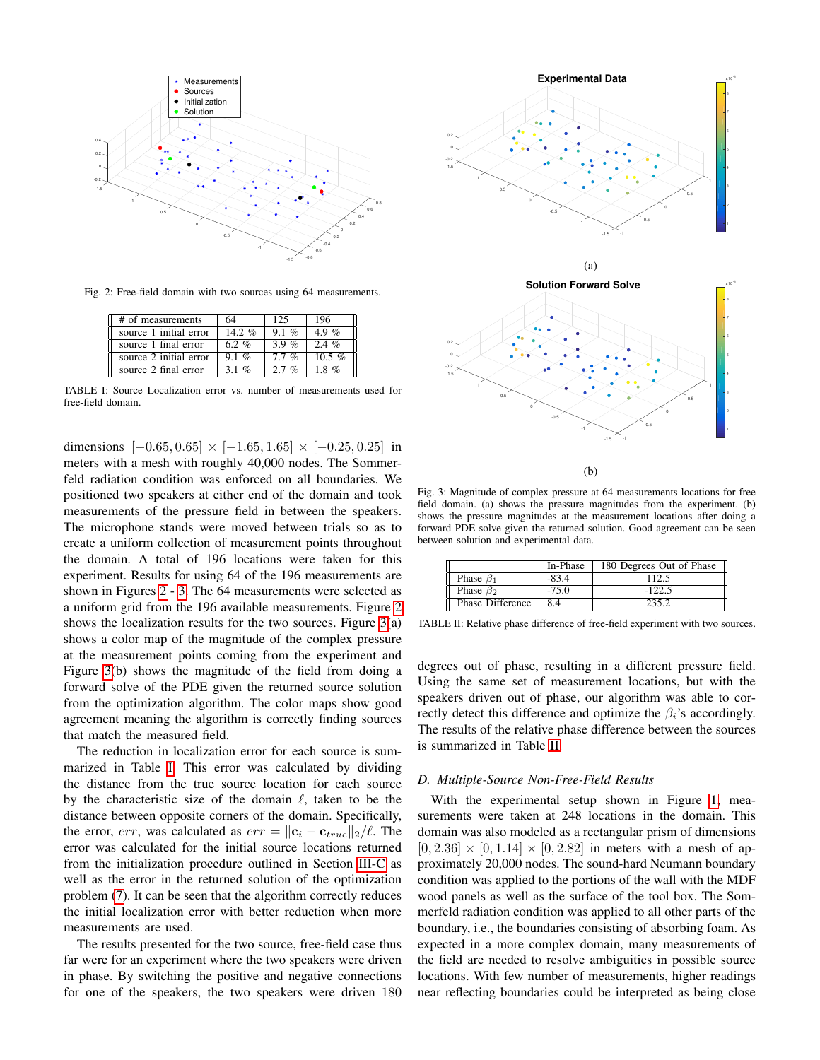<span id="page-4-0"></span>

<span id="page-4-2"></span>Fig. 2: Free-field domain with two sources using 64 measurements.

| # of measurements      | 64       | 125     | 196      |
|------------------------|----------|---------|----------|
| source 1 initial error | 14.2 $%$ | $9.1\%$ | 4.9 %    |
| source 1 final error   | 6.2%     | 3.9 $%$ | $2.4\%$  |
| source 2 initial error | $9.1\%$  | $7.7\%$ | 10.5 $%$ |
| source 2 final error   | 3 1 %    | $27\%$  | $18\%$   |

TABLE I: Source Localization error vs. number of measurements used for free-field domain.

dimensions  $[-0.65, 0.65] \times [-1.65, 1.65] \times [-0.25, 0.25]$  in meters with a mesh with roughly 40,000 nodes. The Sommerfeld radiation condition was enforced on all boundaries. We positioned two speakers at either end of the domain and took measurements of the pressure field in between the speakers. The microphone stands were moved between trials so as to create a uniform collection of measurement points throughout the domain. A total of 196 locations were taken for this experiment. Results for using 64 of the 196 measurements are shown in Figures [2](#page-4-0) - [3.](#page-4-1) The 64 measurements were selected as a uniform grid from the 196 available measurements. Figure [2](#page-4-0) shows the localization results for the two sources. Figure  $3(a)$ shows a color map of the magnitude of the complex pressure at the measurement points coming from the experiment and Figure [3\(](#page-4-1)b) shows the magnitude of the field from doing a forward solve of the PDE given the returned source solution from the optimization algorithm. The color maps show good agreement meaning the algorithm is correctly finding sources that match the measured field.

The reduction in localization error for each source is summarized in Table [I.](#page-4-2) This error was calculated by dividing the distance from the true source location for each source by the characteristic size of the domain  $\ell$ , taken to be the distance between opposite corners of the domain. Specifically, the error, err, was calculated as  $err = ||\mathbf{c}_i - \mathbf{c}_{true}||_2/\ell$ . The error was calculated for the initial source locations returned from the initialization procedure outlined in Section [III-C](#page-2-5) as well as the error in the returned solution of the optimization problem [\(7\)](#page-2-3). It can be seen that the algorithm correctly reduces the initial localization error with better reduction when more measurements are used.

The results presented for the two source, free-field case thus far were for an experiment where the two speakers were driven in phase. By switching the positive and negative connections for one of the speakers, the two speakers were driven 180

<span id="page-4-1"></span>

(b)

Fig. 3: Magnitude of complex pressure at 64 measurements locations for free field domain. (a) shows the pressure magnitudes from the experiment. (b) shows the pressure magnitudes at the measurement locations after doing a forward PDE solve given the returned solution. Good agreement can be seen between solution and experimental data.

<span id="page-4-3"></span>

|                  | In-Phase | 180 Degrees Out of Phase |
|------------------|----------|--------------------------|
| Phase $\beta_1$  | $-83.4$  | 112.5                    |
| Phase $\beta_2$  | $-75.0$  | $-122.5$                 |
| Phase Difference | 8.4      | 235.2                    |

TABLE II: Relative phase difference of free-field experiment with two sources.

degrees out of phase, resulting in a different pressure field. Using the same set of measurement locations, but with the speakers driven out of phase, our algorithm was able to correctly detect this difference and optimize the  $\beta_i$ 's accordingly. The results of the relative phase difference between the sources is summarized in Table [II.](#page-4-3)

### *D. Multiple-Source Non-Free-Field Results*

With the experimental setup shown in Figure [1,](#page-3-1) measurements were taken at 248 locations in the domain. This domain was also modeled as a rectangular prism of dimensions  $[0, 2.36] \times [0, 1.14] \times [0, 2.82]$  in meters with a mesh of approximately 20,000 nodes. The sound-hard Neumann boundary condition was applied to the portions of the wall with the MDF wood panels as well as the surface of the tool box. The Sommerfeld radiation condition was applied to all other parts of the boundary, i.e., the boundaries consisting of absorbing foam. As expected in a more complex domain, many measurements of the field are needed to resolve ambiguities in possible source locations. With few number of measurements, higher readings near reflecting boundaries could be interpreted as being close